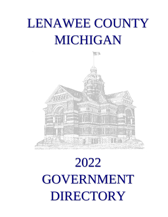# LENAWEE COUNTY MICHIGAN



# 2022 GOVERNMENT DIRECTORY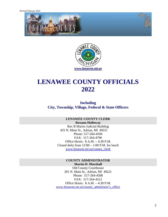Revised February 2022





# **LENAWEE COUNTY OFFICIALS 2022**

#### **Including City, Township, Village, Federal & State Officers**

#### **LENAWEE COUNTY CLERK Roxann Holloway**

Rex B Martin Judicial Building 425 N. Main St., Adrian, MI 49221 Phone: 517-264-4594 FAX: 517-264-4790 Office Hours: 8 A.M. – 4:30 P.M. Closed daily from  $12:00 - 1:00$  P.M. for lunch [www.lenawee.mi.us/county\\_clerk](http://www.lenawee.mi.us/county_clerk)

#### **COUNTY ADMINISTRATOR**

**Martin D. Marshall**  Old County Courthouse 301 N. Main St., Adrian, MI 49221 Phone: 517-264-4508 FAX: 517-264-4512 Office Hours: 8 A.M. – 4:30 P.M. [www.lenawee.mi.us/county\\_administor's\\_office](http://www.lenawee.mi.us/county_administor%E2%80%99s_office)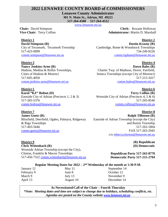#### **2022 LENAWEE COUNTY BOARD of COMMISSIONERS**

**Lenawee County Administrator** 

**301 N. Main St., Adrian, MI 49221** 

**517-264-4508 517-264-4512** 

[www.lenawee.mi.us](http://www.lenawee.mi.us/)

**District 1 David Stimpson (R)**  City of Tecumseh, Tecumseh Township 517-423-0999 comm.stimpson@lenawee.mi.us

**District 3 Nancy Jenkins-Arno (R)**  Hudson, Medina & Rollin Townships, Cities of Hudson & Morenci 517-605-4050 comm.jenkins-arno@lenawee.mi.us

**District 5 Karol "KZ" Bolton (D)**  Eastside City of Adrian (Precincts 1, 2 & 3) 517-265-5376 [comm.bolton@lenawee.mi.us](mailto:comm.bolton@lenawee.mi.us)

#### **District 7 James Goetz (R)**  Blissfield, Deerfield, Ogden, Palmyra, Ridgeway & Riga Townships 517-403-5646 [comm.goetz@lenawee.mi.us](mailto:comm.goetz@lenawee.mi.us)

Westside Adrian Township (except the City),

517-456-7322 [comm.wittenbach@lenawee.mi.us](mailto:comm.wittenbach@lenawee.mi.us)

Clinton, Franklin & Macon Townships

**Chair:** David Stimpson **Clerk:** Roxann Holloway **Vice-Chair:** Terry Collins **Administrator:** Martin D. Marshall

> **District 2 Dustin Krasny (R)** Cambridge, Rome & Woodstock Townships 734-249-9226 comm.lapham@lenawee.mi.us

**District 4 Dawn Bales (R)**  Charter Twp. of Madison, Dover, Fairfield, Seneca Townships (except City of Morenci) 517-215-3417 comm.bales@lenawee.mi.us

**District 6 Terry Collins (R)** Westside City of Adrian (Precincts 4, 5 & 6) 517-265-8546 [comm.collins@lenawee.mi.us](mailto:comm.collins@lenawee.mi.us)

**District 8**

**Ralph Tillotson (R)**  Eastside of Adrian Township (except the City) and Raisin Township 517-263-1804 FAX 517-263-2945 c/o [rebecca.borton@lenawee.mi.us](mailto:rebecca.borton@lenawee.mi.us)

> **(R) Republican (D) Democratic**

**Republican Party 517-263-8770 Democratic Party 517-215-2794**

#### **Regular Meeting Dates for 2022 – 2nd Wednesday of the month at 1:30 P.M.**

**District 9** 

**Chris Wittenbach (R)** 

January 12 May 11 September 14 February 9 June 8 Corober 12 March 9 **July 13** November 9 April 13 August 10 December 14

**As Necessitated/Call of the Chair – Fourth Thursday** 

*\*Note: Meeting dates and time are subject to change due to holidays, scheduling conflicts, etc. Agendas are posted on the County website [www.lenawee.mi.us](http://www.lenawee.mi.us/)*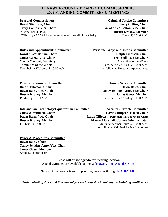#### **LENAWEE COUNTY BOARD OF COMMISSIONERS 2022 STANDING COMMITTEES & MEETINGS**

**Board of Commissioners Criminal Justice Committee David Stimpson, Chair Terry Collins, Chair** Terry Collins, Chair Terry Collins, Vice-Chair **Karol "KZ" Bolton, Vice-Chair** Karol "KZ" Bolton, Vice-Chair 2<sup>nd</sup> Wed. @1:30 P.M. 4 th Thurs. @ 7:00 P.M. (as necessitated/at the call of the Chair) 1

**Dustin Krasny, Member**  $1<sup>st</sup>$  Thurs. @  $10:00$  A.M.

**Martin Marshall, Secretary** 

**Rules and Appointments Committee Personnel/Ways and Means Committee**  Karol "KZ" Bolton, Chair **Ralph Tillotson, Chair** Ralph Tillotson, Chair **James Goetz, Vice-Chair Terry Collins, Vice-Chair Terry Collins, Vice-Chair Martin Marshall, Secretary Committee of the Whole** Committee of the Whole  $\qquad \qquad$  Tues. before  $2^{nd}$  Wed. @ 10:00 A.M. Tues. before  $2<sup>nd</sup>$ . Wed. @ 10:00 A.M. or following Rules and Appointments

**Ralph Tillotson, Chair**  $1<sup>st</sup>$  Mon. @ 10:00 A.M.

**Physical Resources Committee 1986 1997 12:00 13:00 13:00 14:00 14:00 14:00 14:00 14:00 14:00 14:00 14:00 14:00 14:00 14:00 14:00 14:00 14:00 14:00 14:00 14:00 14:00 14:00 14:00 14:00 14:00 14:00 14:00 14:00 14:00 14:00 14 Dawn Bales, Vice-Chair Mancy Jenkins-Arno, Vice-Chair** *Nancy Jenkins-Arno, Vice-Chair* **Dustin Krasny, Member James Goetz, Member** Tues. before  $2<sup>nd</sup>$  Wed. @ 10:00 A.M.

**Information Technology/Equalization Committee Accounts Payable Committee Chris Wittenbach, Chair David Stimpson, Board Chair Dawn Bales, Vice-Chair Ralph Tillotson, Personnel/Ways & Means Chair Ralph Tillotson, Personnel/Ways & Means Chair Dustin Krasny, Member Martin Marshall, County Administrator**  $1<sup>st</sup>$  Thurs. @  $1:30$  P.M.

Meets every other Thurs. @ 10:00 A.M. or following Criminal Justice Committee

**Policy & Procedures Committee Dawn Bales, Chair Nancy Jenkins-Arno, Vice-Chair James Goetz, Member**  At the call of the chair

> **Please call or see agenda for meeting location**  Agenda/Minutes are available online @ [lenawee.mi.us/AgendaCenter](http://www.lenawee.mi.us/agendacenter)

> Sign up to receive notices of upcoming meetings through [NOTIFY ME](http://www.lenawee.mi.us/list.aspx)

*\*Note: Meeting dates and time are subject to change due to holidays, scheduling conflicts, etc.*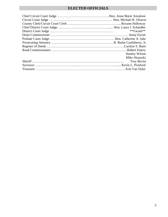### **ELECTED OFFICIALS**

| $*$ <sup>*</sup> $Vacant$ <sup>**</sup> |  |
|-----------------------------------------|--|
|                                         |  |
|                                         |  |
|                                         |  |
|                                         |  |
|                                         |  |
| <b>Stanley Wilson</b>                   |  |
| Mike Slusarski                          |  |
| <b>Troy Bevier</b>                      |  |
|                                         |  |
|                                         |  |
|                                         |  |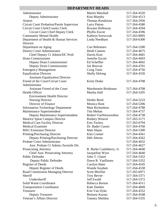#### **DEPARTMENT HEADS**

| Administrator                                    | <b>Martin Marshall</b>    | 517-264-4520 |
|--------------------------------------------------|---------------------------|--------------|
| Deputy Administrator                             | Kim Murphy                | 517-264-4513 |
| Airport                                          | Thomas Kendziora          | 517-264-2956 |
| <b>Circuit Court Probation/Parole Supervisor</b> | <b>Larry Patton</b>       | 517-264-4580 |
| Circuit Court Clerk/County Clerk                 | Roxann Holloway           | 517-264-4594 |
| <b>Circuit Court Chief Deputy Clerk</b>          | Phyllis Escott            | 517-264-4596 |
| <b>Community Mental Health</b>                   | Kathryn Szewczuk          | 517-263-8905 |
| Department of Health & Human Services            | Linda Needham             | 517-264-6300 |
| Director                                         |                           |              |
| Department on Aging                              | Cari Rebottaro            | 517-264-5280 |
| <b>District Court Administrator</b>              | Heidi Cannon              | 517-264-4675 |
| Chief Deputy Ct Admin/DC Prob                    | Darrin Kost               | 517-264-4681 |
| <b>Drain Commissioner</b>                        | Jennifer Escott           | 517-264-4693 |
| Deputy Drain Commissioner                        | Ed Scheffler              | 517-264-4692 |
| Deputy Drain Commissioner                        | Joe Brezvai               | 517-264-4701 |
| <b>Emergency Management</b>                      | Craig Tanis               | 517-264-4756 |
| <b>Equalization Director</b>                     | <b>Shelly Delong</b>      | 517-264-4526 |
| <b>Assistant Equalization Director</b>           |                           |              |
| Friend of the Court/Circuit Court                | Kristi Drake              | 517-264-4708 |
| Administrator                                    |                           |              |
| <b>Assistant Friend of the Court</b>             | Marshonnie Brinkman       | 517-264-4708 |
| <b>Health Officer</b>                            | Martha Hall               | 517-264-5205 |
| <b>Environment Health Director</b>               |                           |              |
| <b>Nursing Director</b>                          | Deidre Reed               | 517-264-5233 |
| Director of Finance                              | Monica Hunt               | 517-264-5206 |
| <b>Information Technology Department</b>         | <b>Matt Richardson</b>    | 517-264-4788 |
| Maintenance Superintendent                       | Tim Mehan                 | 517-264-4737 |
| Deputy Maintenance Superintendent                | Robert VanNieuwenhze      | 517-264-4738 |
| <b>Maurice Spear Campus Director</b>             | <b>Rodney Weaver</b>      | 517-265-5171 |
| <b>Medical Care Facility Director</b>            | Erin Tuckey               | 517-263-6794 |
| <b>Medical Examiner</b>                          | Dr. Bader Cassin          | 517-264-4760 |
| <b>MSU Extension Director</b>                    | <b>Matt Shane</b>         | 517-264-5300 |
| Printing/Purchasing Director                     | Kim Cramer                | 517-264-4561 |
| Deputy Printing/Purchasing Director              | Deb Ahrens                | 517-264-4562 |
| <b>Probate Court Administrator</b>               |                           | 517-264-4632 |
| Asst. Probate Ct Admin./Juvenile Dir.            |                           | 517-264-4627 |
| <b>Prosecuting Attorney</b>                      | R. Burke Castleberry, Jr. | 517-264-4640 |
| <b>Chief Asst. Prosecuting Attorney</b>          | Jacqueline Wyse           | 517-264-4640 |
| <b>Public Defender</b>                           | John T. Glaser            | 517-264-5352 |
| Deputy Public Defender                           | Dawn R. VanDusen          | 517-264-5352 |
| <b>Register of Deeds</b>                         | Carolyn Bater             | 517-264-4545 |
| Deputy Register of Deeds                         | Wanda Suydam              | 517-264-4538 |
| <b>Road Commission Managing Director</b>         | <b>Scott Merillat</b>     | 517-265-6971 |
| Sheriff                                          | <b>Troy Bevier</b>        | 517-264-5371 |
| Undersheriff                                     | Jeff Ewald                | 517-264-5372 |
| Solid Waste Coordinator                          | Rebecca Borton            | 517-264-4511 |
| <b>Transportation Coordinator</b>                | <b>Kate Daisher</b>       | 517-264-4849 |
| Treasurer                                        | Erin Van Dyke             | 517-264-4552 |
| <b>Deputy Treasurer</b>                          | <b>Brittany Kurutz</b>    | 517-264-4548 |
| Veteran's Affairs Director                       | <b>Tammy Sheldon</b>      | 517-264-5335 |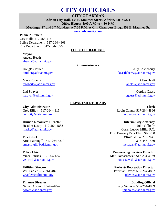# **CITY OFFICIALS**

#### **CITY OF ADRIAN**

**Adrian City Hall, 135 E. Maumee Street, Adrian, MI 49221 Office Hours: 8:00 A.M. to 4:30 P.M. Meetings: 1st and 3rd Mondays at 7:00 P.M. at City Chambers Bldg., 159 E. Maumee St.** 

**[www.adriancity.com](http://www.adriancity.com/)**

#### **Phone Numbers**

City Hall:517-263-2161 Police Department: 517-264-4808 Fire Department:517-264-4856

#### **ELECTED OFFICIALS**

**Commissioners**

#### **Mayor**

Angela Heath [aheath@adrianmi.gov](mailto:aheath@adrianmi.gov) 

Douglas Miller dmiller@adrianmi.gov

#### Mary Roberts mroberts@adrianmi.gov

Lad Strayer [lstrayer@adrianmi.gov](mailto:lstrayer@adrianmi.gov)

#### **DEPARTMENT HEADS**

**City Administrator** Greg Elliott 517-264-4815 [gelliott@adrianmi.gov](mailto:gelliott@adrianmi.gov) 

#### **Human Resources Director**

Heather Lasky 517-264-4883 [hlasky@adrianmi.gov](mailto:hlasky@adrianmi.gov)

#### **Fire Chief**

Aric Massingill 517-264-4879 [amassingill@adrianmi.gov](mailto:amassingill@adrianmi.gov)

**Police Chief** Vince Emrick 517-264-4848 [vemrick@adrianmi.gov](mailto:vemrick@adrianmi.gov)

**Utilities Director** Will Sadler 517-264-4825 [wsadler@adrianmi.gov](mailto:wsadler@adrianmi.gov)

**Finance Director** Nathan Owen 517-264-4842 [nowen@adrianmi.gov](mailto:nowen@adrianmi.gov) 

Kelly Castleberry [kcastleberry@adrianmi.gov](mailto:kcastleberry@adrianmi.gov)

> Allen Heldt [aheldt@adrianmi.gov](mailto:aheldt@adrianmi.gov)

Gordon Gauss [ggauss@adrianmi.gov](mailto:ggauss@adrianmi.gov) 

**Clerk** Robin Connor 517-264-4866 [rconnor@adrianmi.gov](mailto:rconnor@adrianmi.gov)

**Interim City Attorney** John Gillooly Garan Lucow Miller P.C. 1155 Brewery Park Blvd. Ste. 200 Detroit, MI 48207-2641 313-446-1530 [thenagan@adrianmi.gov](mailto:sosburn@adrianmi.gov)

**Engineering Services Director** Matt Tomaszewski 517-264-4829 [mtomaszewski@adrianmi.gov](mailto:mtomaszewski@adrianmi.gov)

**Parks & Recreation Director** Jeremiah Davies 517-264-4807 [jdavies@adrianmi.gov](mailto:jdavies@adrianmi.gov)

**Building Official** Tony Nicholas 517-264-4869 [tnicholas@adrianmi.gov](mailto:tnicholas@adrianmi.gov)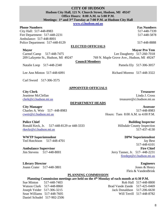#### **CITY OF HUDSON Hudson City Hall, 121 N. Church Street, Hudson, MI 49247 Office Hours: 8:00 A.M. to 5:00 P.M. Meetings: 1st and 3rd Tuesday at 7:00 P.M. at Hudson City Hall**

**[www.ci.hudson.mi.us](http://www.cihudson.mi.us/)**

#### **Phone Numbers Fax Numbers Fax Numbers Fax Numbers**

City Hall:517-448-8983 517-448-7339 Fire Department: 517-448-2231 517-448-5878 Ambulance: 517-448-8001 Police Department: 517-448-8129 517-448-8888

**Treasurer** Linda J. Cross

#### **ELECTED OFFICIALS**

#### **Mayor**

Carmel Camp 517-448-7475 209 Lafayette St., Hudson, MI 49247

Natalie Loop 517-448-2340 Pamela Ely 517-306-3057

Carl Sword 517-306-3575

**Mayor Pro Tem** Lee Daugherty 517-260-7018 769 N. Maple Grove Ave., Hudson, MI 49247

**Council Members**

Lee Ann Minton 517-448-6091 Richard Moreno 517-448-3322

#### **APPOINTED OFFICIALS**

#### **City Clerk**

Jeaniene McClellan [clerk@ci.hudson.mi.us](mailto:clerk@ci.hudson.mi.us)

#### **DEPARTMENT HEADS**

**City Manager** 

Charles A. Weir 517- 448-8983 [cweir@ci.hudson.mi.us](mailto:cweir@ci.hudson.mi.us)

#### **Police Chief**

Ronald Keck, Jr. 517-448-8129 or 448-3333 [rkeckr@ci.hudson.mi.us](mailto:rkeckr@ci.hudson.mi.us)

**WWTP Superintendent** Ted Hutchison 517-448-4701

**Ambulance Supervisor** Jim Stevens 517-448-8001

**Library Director**

**Assessor** 517-448-8983 Hours: Tues 8:00 A.M. to 4:00 P.M.

> **Building Inspector** Hillsdale County Inspection 517-437-4130

treasurer@ci.hudson.mi.us

**DPW Superintendent** Jay Best 517-448-6101 **Fire Chief** Jerry Tanner, Jr. 517- 448-2231 [firedept@ci.hudson.mi.us](mailto:firedept@ci.hudson.mi.us)

> **Engineers** Jones & Henry Fleis & VandenBrink

## Joann Crater 517-448-3801

#### **PLANNING COMMISSION**

#### **Planning Commission meetings are held on the 4th Monday of each month at 6:30 P.M.**

Daniel Schudel 517-902-2506

Sue Minton 517-448-7403 Rob Hall 517-448-8800 Watson Clark 517-448-8860 Brad Vande Zande 517-425-0469 Joseph Yeider 517-306-3215 Jack Donaldson 517-206-6630 Sean Williams 517-448-7605 Will Terrill 517-448-8782

8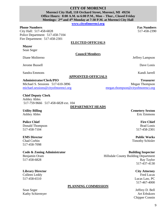**CITY OF MORENCI Morenci City Hall, 118 Orchard Street, Morenci, MI 49256 Office Hours: 8:00 A.M. to 6:00 P.M., Mon – Thur., Closed Friday Meetings: 2nd and 4th Monday at 7:30 P.M. at Morenci City Hall** 

**[www.cityofmorenci.org](http://www.hudsonmich.com/)**

#### **Phone Numbers Fax Numbers Fax Numbers Fax Numbers**

City Hall: 517-458-6828 517-458-2390 Police Department: 517-458-7104 Fire Department: 517-458-2301

#### **ELECTED OFFICIALS**

#### **Mayor**

Sean Seger

**Council Members**

Diane Moliterno Jeffrey Lampson

Jerome Bussell Dave Lonis

Sandra Emmons Kandi Jarrell

#### **APPOINTED OFFICIALS**

#### **Administrator/Clerk/PIO**  Michael S. Sessions 517-610-3896

[michael.sessions@cityofmorenci.org](mailto:michael.sessions@cityofmorenci.org) 

**Chief Deputy Clerk** Ashley Ables 517-759-9666 517-458-6828 ext. 104

**DEPARTMENT HEADS** 

**Utility Billing** Ashley Ables

#### **Police Chief**

Donald Thompson 517-458-7104

#### **EMS Director**

Chad Corbin 517-458-7098

#### **Code & Zoning Administrator**

Benjamin Oram 517-458-6828

#### **Library Director** Colleen Leddy

517-458-6510

**PLANNING COMMISSION**

Sean Seger Jeffrey D. Bell Kathy Schiermyer Art Erbskorn

**Building Inspector** Hillsdale County Building Department Ray Taylor 517-437-4130

**City Attorney**

Fred Lucas Lucas Law, PC 517-467-4000

Chipper Connin

[megan.thompson@cityofmorenci.org](mailto:megan.thompson@cityofmorenci.org)

**Cemetery Sexton** Eric Emmons

#### **Fire Chief** Brad Lonis 517-458-2301

**Public Works** Timothy Schisler

**Treasurer** Megan Thompson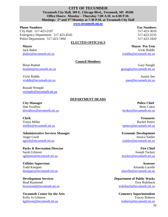#### **CITY OF TECUMSEH Tecumseh City Hall, 309 E. Chicago Blvd., Tecumseh, MI 49286 Office Hours: Monday – Thursday 7:00 A.M. to 6:00 P.M. Meetings: 1st and 3rd Monday at 7:30 P.M. at Tecumseh City Hall**

**[www.tecumseh.mi.us](http://www.tecumseh.mi.us/)** 

#### **Phone Numbers Fax Numbers Fax Numbers Fax Numbers**

City Hall: **517-423-2107** 517-423-3610 Emergency Department: 517-423-4545 517-423-5535 Police Department: 517-423-7494 517-423-1820

#### **ELECTED OFFICIALS**

#### **Mayor**

Jack Baker [jbaker@tecumseh.mi.us](mailto:jbaker@tecumseh.mi.us)

#### **Council Members**

Brian Radant [bradant@tecumseh.mi.us](mailto:bradant@tecumseh.mi.us)

Vicki Riddle [vriddle@tecumseh.mi.us](mailto:vriddle@tecumseh.mi.us)

Ronald Wimple [rwimple@tecumseh.mi.us](mailto:rwimple@tecumseh.mi.us)

#### **DEPARTMENT HEADS**

**City Manager** Dan Swallow [dswallow@tecumseh.mi.us](mailto:dswallow@tecumseh.mi.us)

**Clerk** Tonya Miller [tmiller@tecumseh.mi.us](mailto:tmiller@tecumseh.mi.us) 

#### **Administrative Services Manager** Angie Gwilt [agwilt@tecumseh.mi.us](mailto:agwilt@tecumseh.mi.us)

**Parks & Recreation Director** Sarah Gilmore [sgilmore@tecumseh.mi.us](mailto:sgilmore@tecumseh.mi.us)

**Utilities Supervisor** Todd Knepper [tknepper@tecumseh.mi.us](mailto:tknepper@tecumseh.mi.us)

**Development Services** Brad Raymond [braymond@tecumseh.mi.us](mailto:braymond@tecumseh.mi.us)

**Tecumseh Center for the Arts** Kelly Jo Gilmore [kgilmore@tecumseh.mi.us](mailto:kgilmore@tecumseh.mi.us) 

**Mayor Pro Tem**

Vicki Riddle [vriddle@tecumseh.mi.us](mailto:vriddle@tecumseh.mi.us)

Gary Naugle [gnaugle@tecumseh.mi.us](mailto:gnaugle@tecumseh.mi.us)

> Austin See [asee@tecumseh.mi.us](mailto:asee@tecumseh.mi.us)

 **Police Chief**  Brett Coker [bcoker@tecumseh.mi.us](mailto:bcoker@tecumseh.mi.us)

**Treasurer** Rachel Peters [rpeters@tecumseh.mi.us](mailto:rpeters@tecumseh.mi.us)

**Economic Development** Jessica Sattler [jsattler@tecumseh.mi.us](mailto:jsattler@tecumseh.mi.us)

**Fire Chief** Joseph Tuckey [jtuckey@tecumseh.mi.us](mailto:jtuckey@tecumseh.mi.us)

**Assessor** Amanda Lacelle [alacelle@tecumseh.mi.us](mailto:assessor@tecumseh.mi.us)

**Department of Public Works** Troy Rohrbach [trohrbach@tecumseh.mi.us](mailto:trohrbach@tecumseh.mi.us)

> **Cemetery Superintendent** Tracey Roberts [troberts@tecumseh.mi.us](mailto:troberts@tecumseh.mi.us)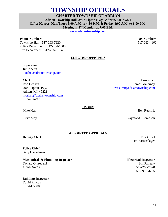# **TOWNSHIP OFFICIALS**

**CHARTER TOWNSHIP OF ADRIAN** 

**Adrian Township Hall, 2907 Tipton Hwy., Adrian, MI 49221 Office Hours: Mon/Thurs 8:00 A.M. to 4:30 P.M. & Friday 8:00 A.M. to 1:00 P.M. Meetings: 2nd Monday at 7:00 P.M.** 

**[www.adriantownship.com](http://www.adriantownship.com/)** 

#### **Phone Numbers Fax Numbers Fax Numbers Fax Numbers**

Township Hall: 517-263-7920 517-263-4162 Police Department: 517-264-1000 Fire Department: 517-265-1314

#### **ELECTED OFFICIALS**

**Supervisor** Jim Koehn [jkoehn@adriantownship.com](mailto:jkoehn@adriantownship.com) 

**Clerk**  Rob Hosken 2907 Tipton Hwy. Adrian, MI 49221 [rhosken@adriantownship.com](mailto:rhosken@adriantownship.com)  517-263-7920

# **Trustees**

[treasurer@adriantownship.com](mailto:treasurer@adriantownship.com)

Mike Herr Ben Ruesink

**Treasurer** James Malarney

Steve May Raymond Thompson

**APPOINTED OFFICIALS**

**Deputy Clerk**

**Police Chief** Gary Hanselman

**Mechanical & Plumbing Inspector** Donald Olszewski

419-466-7238

**Building Inspector**  David Rincon 517-442-3080

**Fire Chief** Tim Bartenslager

**Electrical Inspector** Bill Patteuw 517-263-7920 517-902-4205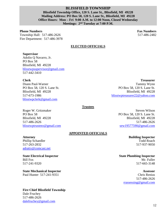**BLISSFIELD TOWNSHIP** 

**Blissfield Township Office, 120 S. Lane St., Blissfield, MI 49228 Mailing Address: PO Box 58, 120 S. Lane St., Blissfield, MI 49228 Office Hours: Mon – Fri 9:00 A.M. to 12:00 Noon, Closed Wednesday Meetings: 2nd Tuesday at 7:00 P.M.** 

#### **Phone Numbers Fax Numbers Fax Numbers Fax Numbers**

Township Hall: 517-486-2626 517-486-2482 Fire Department: 517-486-3978

#### **ELECTED OFFICIALS**

#### **Supervisor**

Adolio Q Navarro, Jr. PO Box 58 Blissfield, MI 49228 [blisstwpsupervisor@gmail.com](mailto:blisstwpsupervisor@gmail.com)  517-442-3410

#### **Clerk**

Diann Paul-Warner PO Box 58, 120 S. Lane St. Blissfield, MI 49228 517-673-1986 [blisstwpclerk@gmail.com](mailto:blisstwpclerk@gmail.com) 

#### **Trustees**

Roger W. Gritzmaker PO Box 58 Blissfield, MI 49228 517-486-2626 [blisstwptrusteez@gmail.com](mailto:blisstwptrusteez@gmail.com)

#### **APPOINTED OFFICIALS**

**Attorney** Phillip Schaedler 517-263-2832 [adratty@comcast.net](mailto:adratty@comcast.net) 

#### **State Electrical Inspector**  Bill Fox 517-241-9320

**State Mechanical Inspector** Paul Hunter 517-241-9351

#### **Fire Chief Blissfield Township**  Dale Fruchey 517-486-2626 [dalefruchey@gmail.com](mailto:dalefruchey@gmail.com)

**Treasurer** Tammy Wynn PO Box 58, 120 S. Lane St. Blissfield, MI 49228 [blisstwptreasurer22@yahoo.com](mailto:blisstwptreasurer22@yahoo.com)

> Steven Wilson PO Box 58, 120 S. Lane St. Blissfield, MI 49228 517-486-2626 [sew19577590@gmail.com](mailto:sew19577590@gmail.com)

> > **Building Inspector** Todd Roach 517-937-9050

#### **State Plumbing Inspector** Mr. Fuller 517-665-3148

**Assessor** Chris Renius 517-486-2626 [rrassessing@gmail.com](mailto:rrassessing@gmail.com)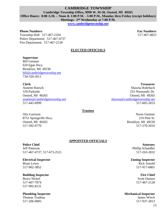#### **CAMBRIDGE TOWNSHIP Cambridge Township Office, 9990 W. M-50, Onsted, MI 49265 Office Hours: 8:00 A.M. – Noon & 1:00 P.M. - 5:00 P.M., Monday thru Friday (except holidays) Meetings: 2nd Wednesday at 7:00 P.M.**

**[www.cambridgetownship.net](http://www.cambridgetownship.net/)** 

#### **Phone Numbers Fax Numbers Fax Numbers Fax Numbers**

Township Hall: 517-467-2104 517-467-4823 Police Department: 517-467-4737 Fire Department: 517-467-2128

#### **ELECTED OFFICIALS**

#### **Supervisor**

Bill Gentner 620 Egan Hwy. Brooklyn, MI 49230 [bill@cambridgetownship.net](mailto:bill@cambridgetownship.net)  734-320-2611

#### **Clerk**

Annette Roesch 318 Parkside Onsted, MI 49265 [annette@cambridgetownship.net](mailto:annette@cambridgetownship.net) 517-442-6999

**Treasurer** Shawna Rohrbach 253 Normandy Dr, Onsted, MI 49265 [shawna@cambridgetownship.net](mailto:shawna@cambridgetownship.net) 517-605-2653

#### **Trustees**

Otis Garrison 8751 Springville Hwy. Onsted, MI 49265 517-392-0770

Norm Gentner 210 Pine St. Brooklyn, MI 49230 517-270-2010

#### **APPOINTED OFFICIALS**

#### **Police Chief**

Jeff Paterson 517-467-4737, 517-673-2521

#### **Electrical Inspector** Brian Lewis

517-902-3852

#### **Building Inspector**

Bruce Nickel 517-467-7874 517-902-8131

#### **Plumbing Inspector**

Thomas Trudeau 517-206-9005

**Attorney** Phillip Schaedler 517-263-2832

**Zoning Inspector** Rick Arnold 517-917-6801

#### **Fire Chief** Scott Damon 517-467-2128

#### **Mechanical Inspector**

James Wiech 517-937-2813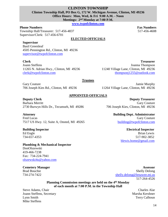#### **CLINTON TOWNSHIP Clinton Township Hall, PO Box G, 172 W. Michigan Avenue, Clinton, MI 49236 Office Hours: Mon, Wed, & Fri 9:00 A.M. - Noon Meetings: 2nd Monday at 7:00 P.M.**

**[www.twpofclinton.com](http://www.twpofclinton.com/)** 

#### **Phone Numbers Fax Numbers Fax Numbers Fax Numbers**

Township Hall/Treasurer:517-456-4837 517-456-4608 Supervisor/Clerk: 517-456-6701

**ELECTED OFFICIALS** 

#### **Supervisor**

Basil Greenleaf 4505 Pennington Rd., Clinton, MI 49236 [supervisor@twpofclinton.com](mailto:supervisor@twpofclinton.com) 

#### **Clerk**

Joann Steffens 11265 N. Adrian Hwy., Clinton, MI 49236 [clerk@twpofclinton.com](mailto:clerk@twpofclinton.com)

**Treasurer** Joanna Thompson 11240 Village Lane, Clinton, MI 49236 [thompsonj1255@outlook.com](mailto:thompsonj1255@outlook.com)

11264 Village Lane, Clinton, MI 49236

#### **Trustees**

Gary Couture 706 Joseph Kies Rd., Clinton, MI 49236

#### **APPOINTED OFFICIALS**

**Deputy Clerk** Barbara Merritt 2730 Burwyn Hills Dr., Tecumseh, MI 49286

**Attorney** Fred Lucas 7517 US Hwy. 12, Suite A, Onsted, MI 49265

#### **Building Inspector**

Ed Engle 734-657-4353

#### **Plumbing & Mechanical Inspector**

DonOlszewski 419-466-7238 Fax: 734-224-7941 [olszewski4u@yahoo.com](mailto:olszewski4u@yahoo.com)

**Cemetery Manager** Brad Bouchie 734-274-7422

**Deputy Treasurer** Gary Couture 706 Joseph Kies, Clinton, MI 49236

> **Building Dept. Administrator** Gary Couture [building@twpofclinton.com](mailto:building@twpofclinton.com)

> > **Electrical Inspector**  Brian Lewis 517-902-3852 [blewis.home@gmail.com](mailto:blewis.home@gmail.com)

**Assessor** Shelly Delong [shelly.delong@lenawee.mi.us](mailto:shelly.delong@lenawee.mi.us) 517-264-4526

#### **Planning Commission meetings are held on the 4th Monday of each month at 7:00 P.M. in the Township Hall**

Steve Adams, Chair Charles Alar Joann Steffens, Secretary Marsha Kershner Lynn Smith Terry Calhoun Mike Steffens

Jamie Murphy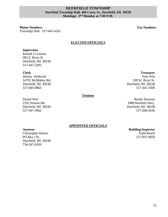#### **DEERFIELD TOWNSHIP Deerfield Township Hall, 468 Carey St., Deerfield, MI 49238 Meetings: 2nd Monday at 7:00 P.M.**

**Phone Numbers Fax Numbers** Township Hall:517-447-4162

**Treasurer** Pam Witt

530 W. River St. Deerfield, MI 49238

517-447-3509

#### **ELECTED OFFICIALS**

#### **Supervisor**

Ronald J Cousino 392 E. River St Deerfield, MI 49238 517-447-3295

#### **Clerk**

Shirley Soldwish 14791 McMahon Rd. Deerfield, MI 49238 517-605-9863

#### **Trustees**

Daniel Witt 2352 Stearns Rd. Deerfield, MI 49238 517-447-3962

Randy Dusseau 1888 Bucholtz Hwy. Deerfield, MI 49238 517-206-6256

#### **APPOINTED OFFICIALS**

**Assessor**

Christopher Renius PO Box 176 Deerfield, MI 49238 734-347-8109

**Building Inspector** Todd Roach 517-937-9050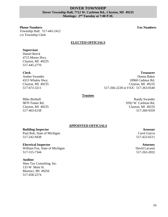#### **DOVER TOWNSHIP Dover Township Hall, 7712 W. Carleton Rd., Clayton, MI 49235 Meetings: 2nd Tuesday at 7:00 P.M.**

#### **Phone Numbers Fax Numbers**

Township Hall:517-445-2412 c/o Township Clerk

#### **ELECTED OFFICIALS**

#### **Supervisor**

Daniel Borck 4715 Morey Hwy. Clayton, MI 49235 517-445-2770

#### **Clerk**

Amber Swander 4315 Whaley Hwy. Clayton, MI 49235 517-673-3211

**Treasurer** Donna Baker 10960 Cadmus Rd. Clayton, MI 49235 517-266-2228 or FAX: 517-263-0540

#### **Trustees**

Mike Birdsell 9870 Tomer Rd. Clayton, MI 49235 517-403-6158

#### Randy Swander 9392 W. Carleton Rd. Clayton, MI 49235 517-260-9359

#### **APPOINTED OFFICIALS**

#### **Building Inspector**

Paul Rob, State of Michigan 517-242-9438

#### **Electrical Inspector**

William Fox, State of Michigan 517-315-7344

#### **Auditor**

Shea Tax Consulting, Inc. 133 W. Main St. Morenci, MI 49256 517-458-2274

**Assessor** Carol Garcia 517-423-6511

**Attorney** David Lacasse 517-263-2832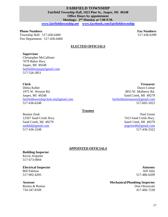#### **FAIRFIELD TOWNSHIP Fairfield Township Hall, 1023 Pine St., Jasper, MI 49248 Office Hours by appointment Meetings: 2nd Monday at 7:00 P.M.**

**[www.fairfieldtownship.net](http://www.fairfieldtownship.net/) [www.facebook.com/fairfieldtownship](http://www.facebook.com/fairfieldtownship)** 

#### **Phone Numbers Fax Numbers Fax Numbers Fax Numbers**

Township Hall: 517-436-6400 517-436-6399 Fire Department: 517-436-6400

#### **ELECTED OFFICIALS**

#### **Supervisor**

Christopher McCallister 7679 Baker Hwy. Jasper, MI 49248 [fairfieldtwpsup@gmail.com](mailto:fairfieldtwpsup@gmail.com) 517-526-3851

#### **Clerk**

Debra Keller 1975 W. Weston Rd. Jasper, MI 49248 [fairfieldtownshipclerk.mi@gmail.com](mailto:fairfieldtownshipclerk.mi@gmail.com) 517-436-6248

**Trustees**

Bonnie Zenk 12507 Sand Creek Hwy. Sand Creek, MI 49279 [zenkbd@gmail.com](mailto:zenkbd@gmail.com) 517-436-3248

**Treasurer** Dawn Comar 3855 W. Mulberry Rd. Sand Creek, MI 49279 [fairfieldmitreasurer@gmail.com](mailto:fairfieldmitreasurer@gmail.com) 517-605-1023

> Paul Green 7413 Sand Creek Hwy. Sand Creek, MI 49279 [psgreen46@gmail.com](mailto:psgreen46@gmail.com) 517-436-3322

#### **APPOINTED OFFICIALS**

**Building Inspector** Kevin Arquette 517-673-0004

#### **Electrical Inspector**

Bill Patteuw 517-902-4205

#### **Assessor**

Renius & Renius 734-347-8109

**Attorney** Jeff Juby 517-486-6209

**Mechanical/Plumbing Inspector** Don Olszewski 417-466-7238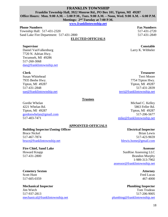#### **FRANKLIN TOWNSHIP**

**Franklin Township Hall, 3922 Monroe Rd., PO Box 101, Tipton, MI 49287** 

**Office Hours: Mon. 9:00 A.M. – 5:00 P.M., Tues. 9:00 A.M. – Noon, Wed. 9:00 A.M. – 6:00 P.M.** 

**Meetings: 2nd Tuesday at 7:00 P.M.** 

**[www.franklintownship.net](http://www.franklintownship.net/)** 

Township Hall: **517-431-2320** 517-431-2320 Sand Lake Fire Department: 517-431-2800 517-431-2849

**ELECTED OFFICIALS** 

#### **Supervisor**

Daniel VanValkenburg 7720 N. Adrian Hwy. Tecumseh, MI 49286 517-260-3068 [dan@franklintownship.net](mailto:dan@franklintownship.net) 

#### **Clerk**

Susan Whitehead 7935 Beebe Hwy. Tipton, MI 49287 517-431-2848 [sue@franklintownship.net](mailto:sue@franklintownship.net) 

#### **Trustees**

Gordie Whelan 4221 Whelan Rd. Tipton, MI 49287 [gordonwhelan@gmail.com](mailto:gordonwhelan@gmail.com) 517-403-7471

#### **APPOINTED OFFICIALS**

#### **Building Inspector/Zoning Officer**

Bruce Nickel 517-467-7874 [bruce@franklintownship.net](mailto:bruce@franklintownship.net) 

#### **Fire Chief, Sand Lake**

Howard Knapp 517-431-2800

#### **Cemetery Sexton**  Scott Hunt

517-605-0359

#### **Mechanical Inspector** Jim Wiech 517-937-2813 [mechanical@franklintownship.net](mailto:mechanical@franklintownship.net)

**Phone Numbers Fax Numbers Fax Numbers Fax Numbers** 

**Constable** Larry K. Wibbeler

**Treasurer**

Terri Moore 7754 Tipton Hwy. Tipton, MI 49287 517-431-2839 [terri@franklintownship.net](mailto:terri@franklintownship.net)

Michael C. Kelley 5863 Feller Rd. Tipton, MI 49287 517-206-5677 [mike@franklintownship.net](mailto:mike@franklintownship.net)

### **Electrical Inspector**

Brian Lewis 517-423-9659 [blewis.home@gmail.com](mailto:blewis.home@gmail.com)

#### **Assessor**

SunRise Assessing LLC Brandon Murphy 1-989-313-7902 [assessor@franklintownship.net](mailto:assessor@franklintownship.net)

#### **Attorney**

Fred Lucas 467-4000

**Plumbing Inspector** Tom Trudeau 517-206-9005 [plumbing@franklintownship.net](mailto:plumbing@franklintownship.net)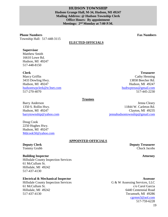#### **HUDSON TOWNSHIP Hudson Grange Hall, M-34, Hudson, MI 49247 Mailing Address: @ Hudson Township Clerk Office Hours: By appointment Meetings: 2nd Monday at 7:00 P.M.**

**Phone Numbers Fax Numbers Fax Numbers Fax Numbers** Township Hall:517-448-3115

#### **ELECTED OFFICIALS**

#### **Supervisor**

Matthew Smith 16610 Lowe Rd. Hudson, MI 49247 517-448-8150

#### **Clerk**

Marcy Griffin 3433 Dowling Hwy. Hudson, MI 49247 [hudsontwpclerk@tc3net.com](mailto:hudsontwpclerk@tc3net.com) 517-270-4070

#### **Treasurer** Cathy Henning 13858 Beecher Rd. Hudson, MI 49247 [hudtwptreas@gmail.com](mailto:hudtwptreas@gmail.com) 517-445-2230

#### **Trustees**

Barry Anderson 1350 S. Rollin Hwy. Hudson, MI 49247 [barrytownship@yahoo.com](mailto:barrytownship@yahoo.com) 

Doug Cook 2250 Hughes Hwy. Hudson, MI 49247 Mdcook50@yahoo.com

#### **APPOINTED OFFICIALS**

**Deputy Clerk** Tommy Grubb

#### **Building Inspector**

Hillsdale County Inspection Services 61 McCullum St. Hillsdale, MI 49242 517-437-4130

#### **Electrical & Mechanical Inspector**

Hillsdale County Inspection Services 61 McCullum St. Hillsdale, MI 49242 517-437-4130

Jenna Cleary 11844 W. Carleton Rd. Clayton, MI 49235 [jennahudsontownship@gmail.com](mailto:jennahudsontownship@gmail.com)

> **Deputy Treasurer** Chuck Jacobs

#### **Attorney**

#### **Assessor** G & W Assessing Services, LLC c/o Carol Garcia 6440 Centennial Road Tecumseh, MI 49286 [cgrmm3@aol.com](mailto:cgrmm3@aol.com) 517-759-6228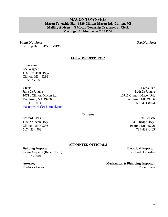20

#### **MACON TOWNSHIP Macon Township Hall, 8320 Clinton-Macon Rd., Clinton, MI Mailing Address: %Macon Township Treasurer or Clerk Meetings: 1st Monday at 7:00 P.M.**

#### **Phone Numbers Fax Numbers**

Township Hall:517-451-8198

#### **ELECTED OFFICIALS**

#### **Supervisor**

Lee Wagner 11891 Macon Hwy. Clinton, MI 49236 517-451-8198

**Clerk**  Julia DeJonghe 10711 Clinton-Macon Rd. Tecumseh, MI 49286 517-451-8074

[macontwpclerk@hotmail.com](mailto:macontwpclerk@hotmail.com) 

#### **Trustees**

Edward Clark 11852 Macon Hwy. Clinton, MI 49236 517-423-4963

734-439-1465

**Electrical Inspector**

Robert Page

Beth Loesch

12435 Ridge Hwy. Britton, MI 49229

### **APPOINTED OFFICIALS**

**Building Inspector** Kevin Arquette (Raisin Twp.) 517-673-0004

## **Attorney**

Frederick Lucas

Richard Holdridge

**Mechanical & Plumbing Inspector**

**Treasurer** Beth DeJonghe 10711 Clinton-Macon Rd. Tecumseh, MI 49286 517-451-8074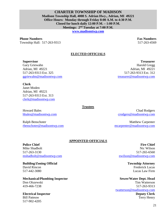**Madison Township Hall, 4008 S. Adrian Hwy., Adrian, MI 49221 Office Hours: Monday through Friday 8:00 A.M. to 4:30 P.M. Closed for lunch daily 12:00 P.M. – 1:00 P.M. Meetings: 2nd Tuesday at 7:00 P.M. [www.madisontwp.com](http://www.madisontwp.com/)** 

**Phone Numbers Fax Numbers Fax Numbers Fax Numbers** 

Township Hall: 517-263-9313 517-263-4569

**Treasurer** Harold Gregg Adrian, MI 49221 517-263-9313 Ext. 312 [treasurer@madisontwp.com](mailto:treasurer@madisontwp.com)

#### **ELECTED OFFICIALS**

**CHARTER TOWNSHIP OF MADISON** 

#### **Supervisor**

Gary Griewahn Adrian, MI 49221 517-263-9313 Ext. 325 [ggriewahn@madisontwp.com](mailto:ggriewahn@madisontwp.com) 

**Clerk**  Janet Moden Adrian, MI 49221

517-263-9313 Ext. 313 [clerk@madisontwp.com](mailto:clerk@madisontwp.com) 

Howard Bales [hbales@madisontwp.com](mailto:hbales@madisontwp.com)

Ralph Benschoter [rbenschoter@madisontwp.com](mailto:rbenschoter@madisontwp.com)

#### **Trustees**

Chad Rodgers [crodgers@madisontwp.com](mailto:crodgers@madisontwp.com)

Matthew Carpenter [mcarpenter@madisontwp.com](mailto:mcarpenter@madisontwp.com)

#### **APPOINTED OFFICIALS**

#### **Police Chief**

Mike Shadbolt 517-263-3130 [mshadbolt@madisontwp.com](mailto:mshadbolt@madisontwp.com) 

**Building/Zoning Official** David Rincon 517-442-3080

**Mechanical/Plumbing Inspector**  Don Olszewski

419-466-7238

**Electrical Inspector** Bill Patteuw 517-902-4205

**Fire Chief** Nic Wilson 517-265-6560 [nwilson@madisontwp.com](mailto:nwilson@madisontwp.com)

> **Township Attorney** Frederick Lucas Lucas Law Firm

**Sewer/Water Dept. Head** Tim Watterson 517-263-9313 [twatterson@madisontwp.com](mailto:twatterson@madisontwp.com) **Deputy Clerk** Terry Henry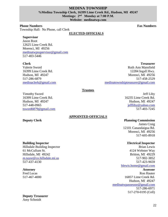#### **MEDINA TOWNSHIP %Medina Township Clerk, 16399 Lime Creek Rd., Hudson, MI 49247 Meetings: 2nd Monday at 7:00 P.M. Website: medinatwp.com**

#### **Phone Numbers Fax Numbers Fax Numbers Fax Numbers**

Township Hall:No Phone, call Clerk

#### **ELECTED OFFICIALS**

**Supervisor** Jason Root 12625 Lime Creek Rd.

Morenci, MI 49256 [medinatwpsupervisor@gmail.com](mailto:medinatwpsupervisor@gmail.com) 517-403-5446

#### **Clerk**

Valerie Sword 16399 Lime Creek Rd. Hudson, MI 49247 517-286-6879 [medinaclerk@gmail.com](mailto:medinaclerk@gmail.com) 

**Treasurer** Ruth Ann Mansfield 12284 Ingall Hwy. Morenci, MI 49256 517-458-2529 [medinatownshiptreasurer@gmail.com](mailto:medinatownshiptreasurer@gmail.com)

#### **Trustees**

Timothy Sword 16399 Lime Creek Rd. Hudson, MI 49247 517-448-0965 [tsword6879@gmail.com](mailto:tsword6879@gmail.com)

#### **APPOINTED OFFICIALS**

#### **Deputy Clerk Planning Commission**

16235 Lime Creek Rd. Hudson, MI 49247 [jeffliby@yahoo.com](mailto:jeffliby@yahoo.com) 517-403-7245

James Craig 12101 Canandaigua Rd. Morenci, MI 49256 517-605-8918

#### **Electrical Inspector**

Brian Lewis 4124 Webster Way Britton, MI 49229 517-902-3852 517-423-9659 [blewis.home@gmail.com](mailto:blewis.home@gmail.com) **Assessor** Ron Hauter 16857 Lime Creek Rd.

Hudson, MI 49247 [medinatwpassessor@gmail.com](mailto:rhauter@wcomco.net) 517-286-6971 517-270-0195 (Cell)

#### **Building Inspector**

Hillsdale Building Inspector 61 McCullum St. Hillsdale, MI 49242 [m.tayor@co.hillsdale.mi.us](mailto:m.tayor@co.hillsdale.mi.us) 517-437-4130

#### **Attorney**

Fred Lucas 517-467-4000

**Deputy Treasurer** Amy Schmidt

22

Jeff Liby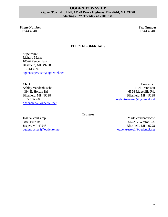#### **OGDEN TOWNSHIP Ogden Township Hall, 10128 Pence Highway, Blissfield, MI 49228 Meetings: 2nd Tuesday at 7:00 P.M.**

**Phone Number Fax Number Fax Number 3.1 All 2003 12:3 The State of Tax Number 5.1 All 2003 12:3 Tax Number 5.1 All 2003 12:3 Tax Number 5.1 All 2003 12:3 Tax Number 5.1 All 2003 12:3 Tax Number 5.1 All 2003 12:3 Tax Number** 517-443-5409 517-443-5406

#### **ELECTED OFFICIALS**

**Supervisor**  Richard Marks 10526 Pence Hwy. Blissfield, MI 49228 517-443-5976 [ogdensupervisor@ogdentel.net](mailto:ogdensupervisor@ogdentel.net)

**Clerk** 

Ashley Vandenbusche 4394 E. Horton Rd. Blissfield, MI 49228 517-673-5685 [ogdenclerk@ogdentel.net](mailto:ogdenclerk@ogdentel.net)

**Treasurer** Rick Dennison 6324 Ridgeville Rd. Blissfield, MI 49228 [ogdentreasurer@ogdentel.net](mailto:ogdentreasurer@ogdentel.net)

**Trustees**

Joshua VanCamp 3883 Fike Rd. Jasper, MI 49248 [ogdentrustee2@ogdentel.net](mailto:ogdentrustee2@ogdentel.net) 

Mark Vandenbusche 6672 E. Weston Rd. Blissfield, MI 49228 [ogdentrustee1@ogdentel.net](mailto:ogdentrustee1@ogdentel.net)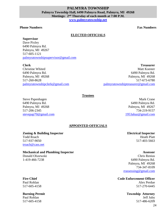#### **PALMYRA TOWNSHIP Palmyra Township Hall, 6490 Palmyra Road, Palmyra, MI 49268 Meetings: 2nd Thursday of each month at 7:00 P.M. [www.palmyratownship.net](http://www.palmyratownship.net/)**

#### **Phone Numbers Fax Numbers**

#### **ELECTED OFFICIALS**

#### **Supervisor**

Dave Pixley 6490 Palmyra Rd. Palmyra, MI 49267 517-605-1121 [palmyratownshipsupervisor@gmail.com](mailto:palmyratownshipsupervisor@gmail.com) 

#### **Clerk**

Christine Whited 6490 Palmyra Rd. Palmyra, MI 49268 517-260-8628 [palmyratownshipclerk@gmail.com](mailto:palmyratownshipclerk@yahoo.com)

**Treasurer** Matt Koester 6490 Palmyra Rd. Palmyra, MI 49268 517-673-6780 [palmyratownshiptreasurer@gmail.com](mailto:palmyratownshiptreasurer@gmail.com)

#### **Trustees**

Steve Papenhagen 6490 Palmyra Rd. Palmyra, MI 49268 517-206-2345 [stevepap70@gmail.com](mailto:stevepap70@gmail.com) 

#### **APPOINTED OFFICIALS**

#### **Zoning & Building Inspector** Todd Roach 517-937-9050 [troach@cass.net](mailto:troach@cass.net)

#### **Mechanical and Plumbing Inspector**

Donald Olszewski 1-419-466-7238

#### **Fire Chief**

Paul Rohlan 517-605-4158

#### **Burning Permit** Paul Rohlan

517-605-4158

**Electrical Inspector** Heath Platt 517-403-5663

[1953ahaz@gmail.com](mailto:1953ahaz@gmail.com)

#### **Assessor**

Mark Crane

6490 Palmyra Rd. Palmyra, MI 49267 734-219-9157

Chris Renius 6490 Palmyra Rd. Palmyra, MI 49268 734-347-8109 [rrassessing@gmail.com](mailto:rrassessing@gmail.com)

**Code Enforcement Officer** Alex Perdue 517-270-6445

> **Township Attorney** Jeff Juby 517-486-6209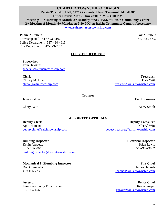#### **CHARTER TOWNSHIP OF RAISIN Raisin Township Hall, 5525 Occidental Hwy., Tecumseh, MI 49286 Office Hours: Mon - Thurs 8:00 A.M. – 4:00 P.M. Meetings: 1st Meeting of Month, 2nd Monday at 6:30 P.M. at Raisin Community Center 2 nd Meeting of Month, 4th Monday at 6:30 P.M. at Raisin Community Center, if necessary [www.raisinchartertownship.com](http://www.raisinchartertownship.com/)**

#### **Phone Numbers Fax Numbers Fax Numbers Fax Numbers**

Township Hall: 517-423-3162 517-423-6732 Police Department: 517-424-4615 Fire Department: 517-423-7811

#### **ELECTED OFFICIALS**

**Supervisor**

Tom Hawkins [supervisor@raisintownship.com](mailto:supervisor@raisintownship.com)

**Clerk**  Christy M. Low [clerk@raisintownship.com](mailto:clerk@raisintownship.com) 

**Treasurer** Dale Witt [treasurer@raisintownship.com](mailto:treasurer@raisintownship.com)

**Trustees**

James Palmer **Deb Brousseau** 

Cheryl Witt Kerry Smith

# **APPOINTED OFFICIALS**

**Deputy Clerk** April Hamann [deputyclerk@raisintownship.com](mailto:deputyclerk@raisintownship.com)

**Building Inspector** Kevin Arquette 517-673-0004 [buildinginspector@raisintownship.com](mailto:buildinginspector@raisintownship.com)

#### **Mechanical & Plumbing Inspector**

Don Olszewski [419-466-7238](mailto:buildinginspector@raisintownship.com)

**Assessor** Lenawee County Equalization 517-264-4568

**Deputy Treasurer** Cheryl Witt [deputytreasurer@raisintownship.com](mailto:deputytreasurer@raisintownship.com)

> **Electrical Inspector** Brian Lewis 517-902-3852

**Fire Chief** James Hannah [jhannah@raisintownship.com](mailto:jhannah@raisintownship.com)

**Police Chief** Kevin Grayer [kgrayer@raisintownship.com](mailto:kgrayer@raisintownship.com)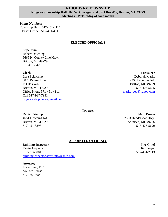#### **RIDGEWAY TOWNSHIP Ridgeway Township Hall, 103 W. Chicago Blvd., PO Box 456, Britton, MI 49229 Meetings: 1st Tuesday of each month**

**Phone Numbers**  Township Hall:517-451-4111 Clerk's Office: 517-451-4111

#### **ELECTED OFFICIALS**

#### **Supervisor**

Robert Downing 6666 N. County Line Hwy. Britton, MI 49229 517-451-8425

#### **Clerk**

Lora Feldkamp 5873 Palmer Hwy. PO Box 426 Britton, MI 49229 Office Phone 571-451-4111 Cell 517-937-7981 [ridgewaytwpclerk@gmail.com](mailto:ridgewaytwpclerk@gmail.com) 

**Treasurer** Deborah Marks 7290 Laberdee Rd. Britton, MI 49229 517-403-5605 [marks\\_deb@yahoo.com](mailto:marks_deb@yahoo.com)

#### **Trustees**

Daniel Prielipp 4651 Downing Rd. Britton, MI 49229 517-451-8393

Marc Brown 7583 Hendershot Hwy. Tecumseh, MI 49286 517-423-5629

#### **APPOINTED OFFICIALS**

#### **Building Inspector** Kevin Arquette 517-673-0004 [buildinginspector@raisintownship.com](mailto:buildinginspector@raisintownship.com)

#### **Attorney**

Lucas Law, P.C. c/o Fred Lucas 517-467-4000

**Fire Chief** Jim Frayer 517-451-2113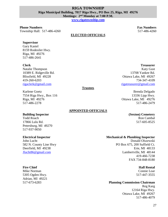#### **RIGA TOWNSHIP Riga Municipal Building, 7817 Riga Hwy., PO Box 25, Riga, MI 49276 Meetings: 2nd Monday at 7:00 P.M.**

**[www.rigatownship.com](http://www.rigatownship.com/)**

#### **Phone Numbers Fax Numbers Fax Numbers Fax Numbers**

Township Hall: 517-486-4260 517-486-4260

#### **ELECTED OFFICIALS**

#### **Supervisor**

Gary Kastel 8159 Rodesiler Hwy. Riga, MI 49276 517-486-2641

#### **Clerk**

Natalie Thompson 10389 E. Ridgeville Rd. Blissfield, MI 49228 419-260-6203 [rigaclerk@gmail.com](mailto:rigaclerk@gmail.com) 

Karlene Goetz 7554 Riga Hwy., Box 116 Riga, MI 49276 517-486-2278

#### **APPOINTED OFFICIALS**

**Trustees**

#### **Building Inspector**

Todd Roach 17866 Lulu Rd. Petersburg, MI 49270 517-937-9050

#### **Electrical Inspector**

John Lucht 582 N. County Line Hwy Deerfield, MI 49238 [Jlucht86@gmail.com](mailto:Jlucht86@gmail.com)

#### **Fire Chief**

Mike Norman 5305 Ogden Hwy. Adrian, MI 49221 517-673-6283

#### **Treasurer** Katy Gust 13708 Yankee Rd. Ottawa Lake, MI 49267 734-347-4109

[rigatreasurer@gmail.com](mailto:rigatreasurer@gmail.com)

Brenda Delgado 13336 Lipp Hwy. Ottawa Lake, MI 49276 517-486-2479

#### **(Sexton) Cemetery** Ron Cambal 517-605-8525

#### **Mechanical & Plumbing Inspector**

Donald Olszewski PO Box 675, 200 Suffield Ct. Erie, MI 48133 Lambertville, MI 48144 419-466-7238 FAX 734-848-8180

#### **Hall Rental**

Connie Loar 517-447-3555

#### **Planning Commission Chairman**

Reg Karg 12164 Riga Hwy. Ottawa Lake, MI 49267 517-486-4079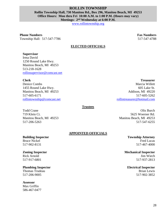#### **ROLLIN TOWNSHIP Rollin Township Hall, 730 Manitou Rd., Box 296, Manitou Beach, MI 49253 Office Hours: Mon thru Fri 10:00 A.M. to 1:00 P.M. (Hours may vary) Meetings: 2nd Wednesday at 6:00 P.M.**

[www.rollintownship.org](http://www.rollintownship.org/)

**Phone Numbers Fax Numbers Fax Numbers Fax Numbers** Township Hall: **517-547-7786** 517-547-4788

#### **ELECTED OFFICIALS**

#### **Supervisor**

Irma David 1250 Round Lake Hwy. Manitou Beach, MI 49253 513-218-1628 [rollinsupervisor@comcast.net](mailto:rollinsupervisor@comcast.net)

#### **Clerk**

Denice Combs 1455 Round Lake Hwy. Manitou Beach, MI 49253 517-605-6171 [rollintownship@comcast.net](mailto:rollintownsip@comcast.net)

#### **Trustees**

Todd Crane 719 Klein Ct. Manitou Beach, MI 49253 517-206-5263

#### **APPOINTED OFFICIALS**

#### **Building Inspector** Bruce Nickel

517-902-8131

#### **Zoning Inspector**

Rick Arnold 517-917-6801

#### **Plumbing Inspector**

Thomas Trudeau 517-206-9005

#### **Assessor**

Max Griffin 586-467-0477

**Treasurer** Marcia Willett 605 Lake St. Addison, MI 49220 517-605-5262 [rollintreasurer@hotmail.com](mailto:rollintreasurer@hotmail.com) 

Olis Burch 5625 Woerner Rd. Manitou Beach, MI 49253 517-547-6255

> **Township Attorney** Fred Lucas

517-467-4000

**Mechanical Inspector** Jim Wiech 517-937-2813

**Electrical Inspector** Brian Lewis 517-902-3852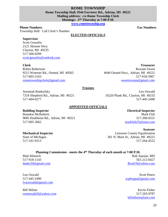#### **ROME TOWNSHIP Rome Township Hall, 9344 Forrister Rd., Adrian, MI 49221 Mailing address: c/o Rome Township Clerk Meetings: 2nd Thursday at 7:00 P.M.**

**[www.rometownship.org](http://www.rometownship.org/)** 

#### **Phone Numbers Fax Numbers**

Township Hall:Call Clerk's Number

#### **ELECTED OFFICIALS**

#### **Supervisor**

Scott Gosselin 2121 Skinner Hwy. Clayton, MI 49235 517-306-0299 [scott.gosselin@outlook.com](mailto:scott.gosselin@outlook.com) 

#### **Clerk**

Robin Robertson 9212 Woerner Rd., Onsted, MI 49265 517-605-5163 [rometownshipclerk@gmail.com](mailto:rometownshipclerk@gmail.com) 

**Treasurer** Roxann Sweet 4040 Onsted Hwy., Adrian, MI 49221 517-918-5967 [sweetroxann@gmail.com](mailto:sweetroxann@gmail.com)

#### **Trustees**

Jeremiah Ruttkofsky 7254 Shepherd Rd., Adrian, MI 49221 517-404-0277

Leo Oswald 10220 Plank Rd., Clayton, MI 49235 517-445-2490

#### **APPOINTED OFFICIALS**

#### **Building Inspector**

Brandon McRoberts 9685 Hoddinott Rd., Adrian, MI 49221 517-605-3662

#### **Mechanical Inspector**

State of Michigan 517-241-9313

**Electrical Inspector** Mark Fish 517-206-6551 [markfish35@msn.com](mailto:markfish35@msn.com)

**Assessor** Lenawee County Equalization 301 N. Main St., Adrian, MI 49221 517-264-4522

#### **Planning Commission - meets the 4th Thursday of each month at 7:00 P.M.**

Matt Minnick 517-918-1143 [duder29@gmail.com](mailto:duder29@gmail.com)

Leo Oswald 517-445-2490 [lvaoswald@gmail.com](mailto:lvaoswald@gmail.com)

Bill Milner [rometwpbill@yahoo.com](mailto:rometwpbill@yahoo.com)

Rob Apoian, MD 561-212-0427 [Rra419@yahoo.com](mailto:Rra419@yahoo.com)

Scott Peters [scphoppa@gmail.com](mailto:scphoppa@gmail.com)

Kevin Fisher 517-265-9787 [klfishfarm@aol.com](mailto:klfishfarm@aol.com)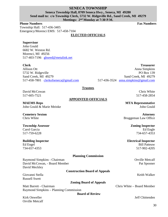#### **SENECA TOWNSHIP Seneca Township Hall, 8709 Seneca Hwy., Seneca, MI 49280 Send mail to: c/o Township Clerk, 5732 W. Ridgeville Rd., Sand Creek, MI 49279 Meetings: 2nd Monday at 7:30 P.M.**

**Phone Numbers Fax Numbers Fax Numbers Fax Numbers** 

Township Hall:517-436-3405 Emergency/Morenci EMS: 517-458-7104

#### **ELECTED OFFICIALS**

#### **Supervisor**

John Gould 6682 W. Weston Rd. Morenci, MI 49256 517-403-7196 [ghseed@metalink.net](mailto:ghseed@metalink.net)

#### **Clerk**

Allison Ott 5732 W. Ridgeville Sand Creek, MI 49279 517-458-7801 [clerkofseneca@gmail.com](mailto:clerkofseneca@gmail.com) 

**Treasurer** Anna Simpkins PO Box 139 Sand Creek, MI 49279 517-436-3524 [anna.simpkins@gmail.com](mailto:anna.simpkins@gmail.com)

#### **Trustees**

David McCowan 517-605-7521

#### **APPOINTED OFFICIALS**

**MAEMS Reps**  John Gould & Marie Meinke

**Cemetery Sexton**  Chris White

**Township Assessor**  Carol Garcia 517-759-6228

#### **Building Inspector** Ed Engel

734-657-4353

#### **Planning Commission**

Raymond Simpkins - Chairman Contract Chairman Contract Chairman Contract Chairman Contract Chairman Contract Chairman David McCowan, - Board Member Pat Spooner David Meckley

#### **Construction Board of Appeals**

Giovanni Stella Keith Walker (Keith Walker (Keith Walker (Keith Walker (Keith Walker (Keith Walker (Keith Walker Russell Swett

**Zoning Board of Appeals**

Raymond Simpkins – Planning Commission

**Board of Review** 

Orville Metcalf

Chris White 517-458-2854

**MTA Representative** John Gould

**Attorney** Bruggeman Law Office

> **Zoning Inspector** Ed Engle 734-657-4353

**Electrical Inspector** Bill Patteuw 517-902-4205

Matt Barrett - Chairman Chris White – Board Member

Kirk Onweller **Jeff Chittenden**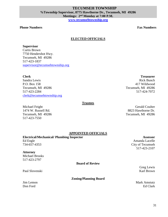#### **Phone Numbers Fax Numbers**

#### **ELECTED OFFICIALS**

**Supervisor**

Curtis Brown 7750 Hendershot Hwy. Tecumseh, MI 49286 517-423-1837 [supervisor@tecumsehtownship.org](mailto:supervisor@tecumsehtownship.org)

#### **Clerk**

Sandra Lewis P.O. Box 158 Tecumseh, MI 49286 517-423-2284 [clerk@tecumsehtownship.org](mailto:clerk@tecumsehtownship.org) 

#### **Trustees**

Michael Feight 1474 W. Russell Rd. Tecumseh, MI 49286 517-423-7550

**Treasurer** Rick Bunch 417 Wildwood Tecumseh, MI 49286 517-424-7072

Gerald Coulter 8823 Hawthorne Dr. Tecumseh, MI 49286

#### **APPOINTED OFFICIALS**

#### **Electrical/Mechanical/ Plumbing Inspector**

Ed Engle 734-657-4353

#### **Attorney**

Michael Brooks 517-423-2797

**Board of Review**

Paul Slovenski Karl Brown (Karl Brown)

**Zoning/Planning Board**

**Assessor** Amanda Lacelle City of Tecumseh 517-423-2107

Greg Lewis

**Jim Lemon** Mark Amstutz Don Ford Ed Clark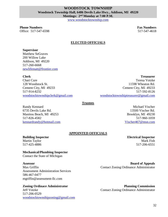#### **WOODSTOCK TOWNSHIP Woodstock Township Hall, 6486 Devils Lake Hwy., Addison, MI 49220 Meetings: 2nd Monday at 7:00 P.M.**

[www.woodstocktownship.com](http://www.woodstocktownship.com/)

**Phone Numbers Fax Numbers Fax Numbers Fax Numbers** Office: 517-547-6598 517-547-6598 517-547-4618

#### **ELECTED OFFICIALS**

**Supervisor**

Matthew SeGraves 200 Willow Lake Addison, MI 49220 517-260-6668 [newlifematt@frontier.com](mailto:newlifematt@frontier.com) 

**Clerk** 

Chari Cure 128 Woodstock St. Cement City, MI 49233 517-914-8232 [woodstocktownshipclerk@gmail.com](mailto:woodstocktownshipclerk@gmail.com) 

**Treasurer** Teresa Votzke 11598 Wheaton Rd. Cement City, MI 49233 517-592-8126 [woodstocktownshiptreasurer@gmail.com](mailto:woodstocktownshiptreasurer@gmail.com)

#### **Trustees**

Randy Kennard 6735 Devils Lake Rd. Manitou Beach, MI 49253 517-826-4582 [kennardrandy@hotmail.com](mailto:kennardrandy@hotmail.com) 

Michael Vischer 13500 Vischer Rd. Brooklyn, MI 49230 517-960-1059 [Vischer467@msn.com](mailto:Vischer467@msn.com)

#### **APPOINTED OFFICIALS**

**Building Inspector**

Martin Taylor 517-425-4886

**Electrical Inspector** Mark Fish 517-206-6551

#### **Mechanical/Plumbing Inspector**

Contact the State of MIchigan

**Assessor** 

Max Griffin Assessment Administration Services 586-467-0477 mgriffin@assessment-llc.com

#### **Zoning Ordinace Administrator**

Jeff Votzke 517-206-0529 [woodstocktownshipzoning@gmail.com](mailto:woodstocktownshipzoning@gmail.com) 

**Board of Appeals** Contact Zoning Ordinance Administrator

**Planning Commission** Contact Zoning Ordinance Administrator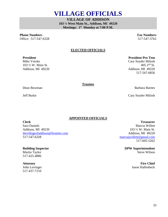**DPW Superintendent**

#### **Fire Chief** Jason Hallenbeck

33

# **VILLAGE OFFICIALS**

**VILLAGE OF ADDISON 103 ½ West Main St., Addison, MI 49220 Meetings: 1st Monday at 7:00 P.M.** 

**Phone Numbers Fax Numbers Fax Numbers Fax Numbers** Office: 517-547-6328 517-547-6328 517-547-6328

#### **ELECTED OFFICIALS**

#### **President**

Mike Votzke 103 ½ W. Main St. Addison, MI 49220

**Trustees**

Dean Bowman Barbara Barnes

Jeff Burke Cary Snyder Milosh

**APPOINTED OFFICIALS** 

**Clerk**  Sara Daniels Addison, MI 49220 [thevillageofaddison@frontier.com](mailto:thevillageofaddison@frontier.com)  517-547-6328

#### **Building Inspector** Martin Taylor

517-425-4886

#### **Attorney**

John Lovinger 517-437-7210

**Treasurer** Marcia Willett 103 ½ W. Main St. Addison, MI 49220 [marciajwillett@gmail.com](mailto:marciajwillett@gmail.com) 517-605-5262

Steve Wilson

**President Pro Tem**

Cary Snyder Milosh 405 2nd St. Addison, MI 49220 517-547-6856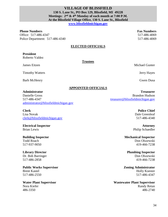#### **VILLAGE OF BLISSFIELD 130 S. Lane St., PO Box 129, Blissfield, MI 49228 Meetings: 2nd & 4th Monday of each month at 7:00 P.M. At the Blissfield Village Office, 130 S. Lane St., Blissfield [www.blissfieldmichigan.gov](http://www.blissfieldmichigan.gov/)**

**Phone Numbers Fax Numbers Fax Numbers Fax Numbers** Office: 517-486-4347 517-486-4069 Police Department: 517-486-4340 517-486-4069

#### **ELECTED OFFICIALS**

**Trustees**

### **President**

Roberto Valdez

James Eitzen Michael Gunter

Timothy Watters **Intervention Community** Jerry Hayes

Barb McHenry Gwen Dusa

#### **APPOINTED OFFICIALS**

#### **Administrator**

Danielle Gross 517-486-4347 [administrator@blissfieldmichigan.gov](mailto:administrator@blissfieldmichigan.gov)

**Clerk** 

Lisa Novak [clerk@blissfieldmichigan.gov](mailto:clerk@blissfieldmichigan.gov)

**Electrical Inspector** Brian Lewis

**Building Inspector** Todd Roach 517-937-9050

**Library Director** Dr. Bob Barringer 517-486-2858

**Public Works Supervisor** Brent Kastel 517-486-2550

**Water Plant Supervisor**  Nora Kiefer 486-3350

**Treasurer** Brandon Hudson [treasurer@blissfieldmichigan.gov](mailto:treasurer@blissfieldmichigan.gov)

> **Police Chief** Dale Greenleaf 517-486-4340

**Attorney** Philip Schaedler

**Mechanical Inspector** Don Olszewski 419-466-7238

**Plumbing Inspector** Don Olszewski 419-466-7238

**Zoning Administrator** Holly Koester 517-486-4347

**Wastewater Plant Supervisor** Randy Retan 486-2740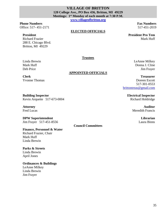#### **VILLAGE OF BRITTON 120 College Ave., PO Box 436, Britton, MI 49229 Meetings: 1st Monday of each month at 7:30 P.M.**

**[www.villageofbritton.org](http://www.villageofbritton.org/)**

#### **Phone Numbers Fax Numbers Fax Numbers Fax Numbers**

Office: 517-451-2171 517-451-2019

#### **President**

Richard Frazier 288 E. Chicago Blvd. Britton, MI 49229

#### **ELECTED OFFICIALS**

**President Pro Tem** Mark Huff

**Trustees**

**APPOINTED OFFICIALS**

Linda Brewin Leanne Milkey<br>
Mark Huff Donna J. Cline Donna J. Cline Deb Price Jim Frayer

#### **Treasurer** Doreen Escott 517-301-0553 [brittontreas@gmail.com](mailto:brittontreas@gmail.com)

**Electrical Inspector** Richard Holdridge

> **Auditor** Meredith Francis

> > **Librarian** Laura Binns

**Building Inspector** Kevin Arquette 517-673-0004

#### **Attorney** Fred Lucas

**DPW Superintendent** Jim Frayer 517-451-8556

#### **Finance, Personnel & Water**  Richard Frazier, Chair

Mark Huff Linda Brewin

#### **Parks & Streets** Linda Brewin April Jones

#### **Ordinances & Buildings** LeAnne Milkey Linda Brewin Jim Frayer

**Council Committees**

Yvonne Thomas

**Clerk**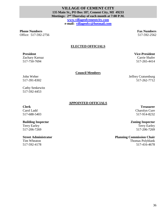#### **VILLAGE OF CEMENT CITY 135 Main St., PO Box 187, Cement City, MI 49233 Meetings: 2nd Thursday of each month at 7:00 P.M. [www.villageofcementcity.com](http://www.villageofcementcity.com/) e-mail: [villageofcc@hotmail.com](mailto:villageofcc@hotmail.com)**

**Phone Numbers Fax Numbers Fax Numbers Fax Numbers** Office: 517-592-2756 517-592-2756

#### **ELECTED OFFICIALS**

#### **President**

Zachary Karnaz 517-750-7694

**Council Members**

John Weber 517-391-8302

Cathy Senkewitz 517-592-4453

#### **APPOINTED OFFICIALS**

#### **Clerk**

Carol Ladd 517-688-5403

#### **Building Inspector**

Terry Earley 517-206-7269

#### **Street Administrator**

Tim Wheaton 517-592-4178

**Treasurer** Charolyn Cure 517-914-8232

**Zoning Inspector** Terry Earley

517-206-7269

#### **Planning Commission Chair**

Thomas Polyblank 517-416-4678

**Vice-President** Carrie Shafer

517-265-4414

Jeffrey Cratsenburg 517-262-7712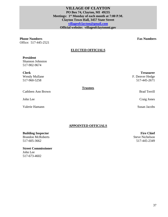#### **VILLAGE OF CLAYTON PO Box 74, Clayton, MI 49235 Meetings: 1st Monday of each month at 7:00 P.M. Clayton Town Hall, 3457 State Street [villageofclayton@gmail.com](mailto:villageofclayton@gmail.com)  Official website: villageofclaytonmi.gov**

### **Phone Numbers Fax Numbers Fax Numbers Fax Numbers**

Office: 517-445-2521

#### **ELECTED OFFICIALS**

#### **President**

John Lee

Shannon Johnston 517-902-9674

**Clerk**  Wendy Mullane 517-960-5258

Cathleen Ann Brown

#### **Trustees**

Brad Terrill

**Treasurer**

F. Denver Hedge 517-445-2671

Craig Jones

Valerie Hamann Susan Jacobs

#### **APPOINTED OFFICIALS**

#### **Building Inspector**

Brandon McRoberts 517-605-3662

**Street Commissioner** John Lee 517-673-4602

**Fire Chief** Steve Nichelson 517-445-2349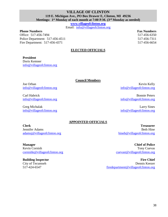### **VILLAGE OF CLINTON 119 E. Michigan Ave., PO Box Drawer E, Clinton, MI 49236**

**Meetings: 1st Monday of each month at 7:00 P.M. (3rd Monday as needed)** 

**[www.villageofclinton.org](http://www.villageofclinton.org/)**

Email: [info@villageofclinton.org](mailto:info@villageofclinton.org) 

**Phone Numbers Fax Numbers Fax Numbers Fax Numbers** 

Office: 517-456-7494 517-456-6350 Police Department: 517-456-4511 517-456-7311 Fire Department: 517-456-4371 517-456-6654

#### **ELECTED OFFICIALS**

**President**

Doris Kemner [info@villageofclinton.org](mailto:info@villageofclinton.org)

**Council Members**

Joe Orban [info@villageofclinton.org](mailto:info@villageofclinton.org)

Carl Habrick [info@villageofclinton.org](mailto:info@villageofclinton.org)

Greg Michalak [info@villageofclinton.org](mailto:info@villageofclinton.org)

#### **APPOINTED OFFICIALS**

**Clerk** Jennifer Adams [adamsj@villageofclinton.org](mailto:adamsj@villageofclinton.org) 

**Manager** Kevin Cornish [cornishk@villageofclinton.org](mailto:cornishk@villageofclinton.org) 

**Building Inspector** City of Tecumseh 517-424-6547

Kevin Kelly [info@villageofclinton.org](mailto:info@villageofclinton.org)

Bonnie Peters [info@villageofclinton.org](mailto:info@villageofclinton.org)

Larry Sines [info@villageofclinton.org](mailto:info@villageofclinton.org)

**Treasurer** Beth Hine [hineb@villageofclinton.org](mailto:hineb@villageofclinton.org) 

**Chief of Police** Tony Cuevas [cuevast@villageofclinton.org](mailto:cuevast@villageofclinton.org)

**Fire Chief** Dennis Keezer [firedepartment@villageofclinton.org](mailto:firedepartment@villageofclinton.org)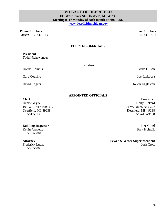39

**Phone Numbers Fax Numbers Fax Numbers Fax Numbers** Office: 517-447-3138 517-447-3614

#### **ELECTED OFFICIALS**

**Trustees**

#### **President**

Todd Nighswander

Donna Holubik Mike Gilson

Gary Cousino Joel LaRocca

David Rogers Kevin Eggleston

#### **APPOINTED OFFICIALS**

#### **Clerk**

Denise Wylie 101 W. River, Box 277 Deerfield, MI 49238 517-447-3138

#### **Building Inspector**

Kevin Arquette 517-673-0004

#### **Attorney**

Frederick Lucas 517-467-4000

**Treasurer** Holly Rickard 101 W. River, Box 277 Deerfield, MI 49238 517-447-3138

> **Fire Chief** Brett Holubik

**Sewer & Water Superintendent** Josh Crots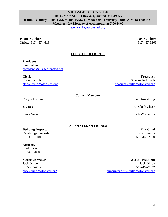#### **VILLAGE OF ONSTED 108 S. Main St., PO Box 420, Onsted, MI 49265 Hours: Monday – 1:00 P.M. to 4:00 P.M., Tuesday thru Thursday – 9:00 A.M. to 1:00 P.M. Meetings: 2nd Monday of each month at 7:00 P.M.**

**[www.villageofonsted.org](http://www.villageofonsted.org/)**

#### **Phone Numbers Fax Numbers Fax Numbers Fax Numbers**

Office: 517-467-4618 517-467-6366

#### **ELECTED OFFICIALS**

#### **President**

Sam Lafata [president@villageofonsted.org](mailto:president@villageofonsted.org)

**Clerk** Robert Wright [clerk@villageofonsted.org](mailto:clerk@villageofonsted.org)

**Treasurer** Shawna Rohrbach [treasurer@villageofonsted.org](mailto:treasurer@villageofonsted.org)

**Council Members**

Cory Johnstone Jeff Armstrong

#### **APPOINTED OFFICIALS**

#### **Building Inspector**

Cambridge Township 517-467-2104

#### **Attorney**

Fred Lucas 517-467-4000

**Streets & Water** Jack Dillon 517-467-7042 [dpw@villageofonsted.org](mailto:dpw@villageofonsted.org)

**Waste Treatment** Jack Dillon 517-467-7042 [superintendent@villageofonsted.org](mailto:superintendent@villageofonsted.org)

Jay Best Elizabeth Chase

Steve Newell **Bob Wolverton** 

#### **Fire Chief** Scott Damon 517-467-7500

40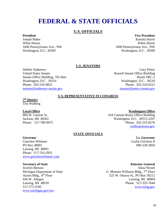# **FEDERAL & STATE OFFICIALS**

#### **U.S. OFFICIALS**

#### **President**

Joseph Biden White House 1600 Pennsylvania Ave., NW Washington, D.C. 20500

#### **Vice President**

Kamala Harris White House 1600 Pennsylvania Ave., NW Washington, D.C. 20500

#### **U.S. SENATORS**

Debbie Stabenow United States Senate Senate Office Building, 702 Hart Washington, D.C. 20510 Phone: 202-224-4822 [senator@stabenow.senate.gov](mailto:senator@stabenow.senate.gov)

#### Gary Peters Russell Senate Office Building Room SRC-2 Washington, D.C. 20510 Phone: 202-224-6221 [senator@peters.senate.gov](mailto:senator@peters.senate.gov)

#### **U.S. REPRESENTATIVE IN CONGRESS**

### **7 th District**

Tim Walberg

#### **Local Office**

800 W. Ganson St. Jackson, MI 49202 Phone: 517-780-9075

#### **Washington Office**

**Lt. Governor** Garlin Gilchrist II 906-228-2850

418 Cannon House Office Building Washington, D.C. 20515-2207 Phone: 202-225-6276 [walberg.house.gov](http://www.walberg.house.gov/)

#### **STATE OFFICIALS**

#### **Governor**

Gretchen Whitmer PO Box 48901 Lansing, MI 48901 Phone: 517-763-2955 [www.gretchenwhitmer.com](http://www.gretchenwhitmer.com/)

#### **Secretary of State**

Jocelyn Benson Michigan Department of State Austin Bldg.,  $4<sup>th</sup>$  Floor 430 W. Allegan Lansing, MI 48918 517-373-2540 [www.michigan.gov/sos](http://www.michigan.gov/sos)

**Attorney General** Dana Nessel G. Mennen Williams Bldg.,  $7<sup>th</sup>$  Floor 525 W. Ottawa St., PO Box 30212 Lansing, MI 48909 Phone: 517-335-7644 [www.miag.gov](http://www.miag.gov/)

#### 41